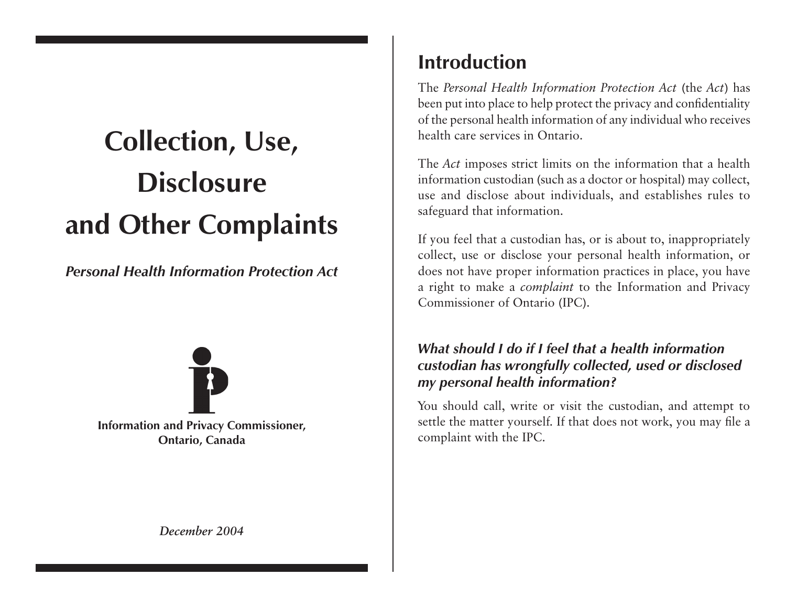# **Collection, Use, Disclosure and Other Complaints**

*Personal Health Information Protection Act*

**Information and Privacy Commissioner, Ontario, Canada**

**Introduction**

The *Personal Health Information Protection Act* (the *Act*) has been put into place to help protect the privacy and confidentiality of the personal health information of any individual who receives health care services in Ontario.

The *Act* imposes strict limits on the information that a health information custodian (such as a doctor or hospital) may collect, use and disclose about individuals, and establishes rules to safeguard that information.

If you feel that a custodian has, or is about to, inappropriately collect, use or disclose your personal health information, or does not have proper information practices in place, you have a right to make a *complaint* to the Information and Privacy Commissioner of Ontario (IPC).

## *What should I do if I feel that a health information custodian has wrongfully collected, used or disclosed my personal health information?*

You should call, write or visit the custodian, and attempt to settle the matter yourself. If that does not work, you may file a complaint with the IPC.

*December 2004*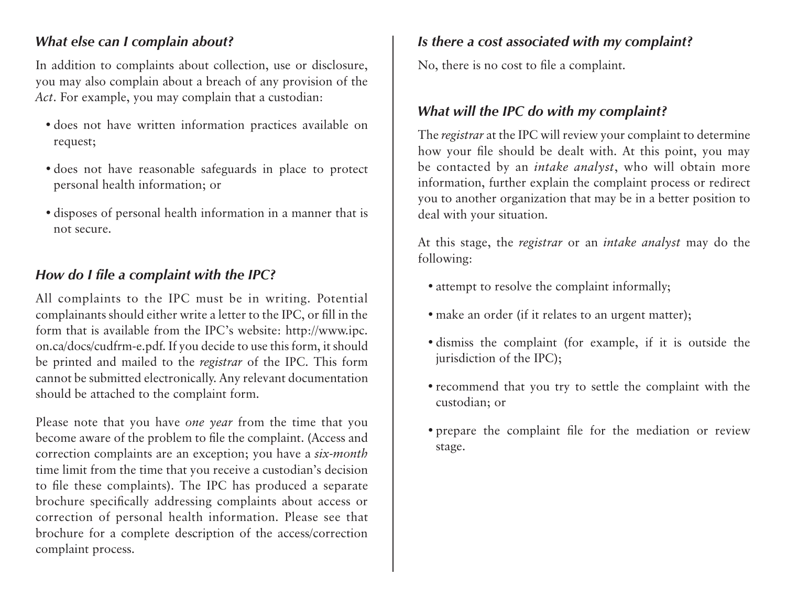## *What else can I complain about?*

In addition to complaints about collection, use or disclosure, you may also complain about a breach of any provision of the *Act*. For example, you may complain that a custodian:

- • does not have written information practices available on request;
- • does not have reasonable safeguards in place to protect personal health information; or
- disposes of personal health information in a manner that is not secure.

# *How do I file a complaint with the IPC?*

All complaints to the IPC must be in writing. Potential complainants should either write a letter to the IPC, or fill in the form that is available from the IPC's website: http://www.ipc. on.ca/docs/cudfrm-e.pdf. If you decide to use this form, it should be printed and mailed to the *registrar* of the IPC. This form cannot be submitted electronically. Any relevant documentation should be attached to the complaint form.

Please note that you have *one year* from the time that you become aware of the problem to file the complaint. (Access and correction complaints are an exception; you have a *six-month* time limit from the time that you receive a custodian's decision to file these complaints). The IPC has produced a separate brochure specifically addressing complaints about access or correction of personal health information. Please see that brochure for a complete description of the access/correction complaint process.

#### *Is there a cost associated with my complaint?*

No, there is no cost to file a complaint.

## *What will the IPC do with my complaint?*

The *registrar* at the IPC will review your complaint to determine how your file should be dealt with. At this point, you may be contacted by an *intake analyst*, who will obtain more information, further explain the complaint process or redirect you to another organization that may be in a better position to deal with your situation.

At this stage, the *registrar* or an *intake analyst* may do the following:

- attempt to resolve the complaint informally;
- make an order (if it relates to an urgent matter);
- • dismiss the complaint (for example, if it is outside the jurisdiction of the IPC);
- recommend that you try to settle the complaint with the custodian; or
- prepare the complaint file for the mediation or review stage.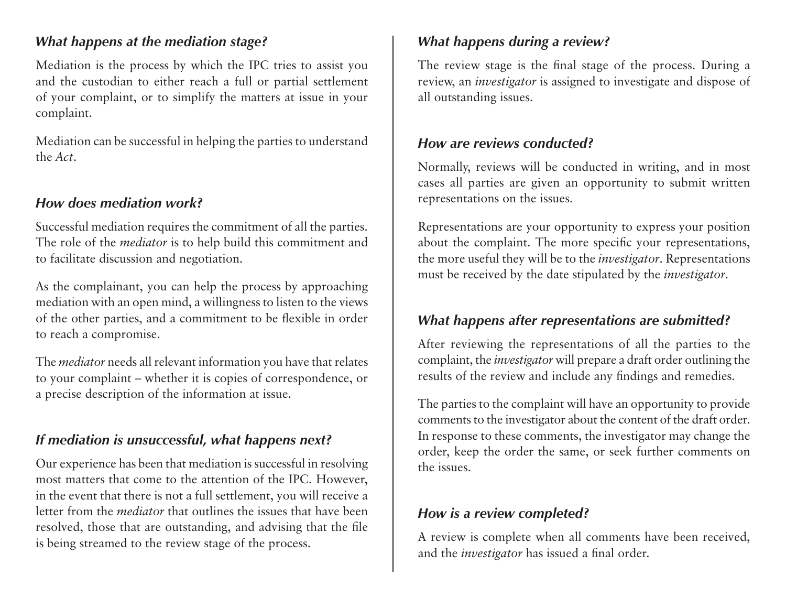## *What happens at the mediation stage?*

Mediation is the process by which the IPC tries to assist you and the custodian to either reach a full or partial settlement of your complaint, or to simplify the matters at issue in your complaint.

Mediation can be successful in helping the parties to understand the *Act*.

## *How does mediation work?*

Successful mediation requires the commitment of all the parties. The role of the *mediator* is to help build this commitment and to facilitate discussion and negotiation.

As the complainant, you can help the process by approaching mediation with an open mind, a willingness to listen to the views of the other parties, and a commitment to be flexible in order to reach a compromise.

The *mediator* needs all relevant information you have that relates to your complaint – whether it is copies of correspondence, or a precise description of the information at issue.

# *If mediation is unsuccessful, what happens next?*

Our experience has been that mediation is successful in resolving most matters that come to the attention of the IPC. However, in the event that there is not a full settlement, you will receive a letter from the *mediator* that outlines the issues that have been resolved, those that are outstanding, and advising that the file is being streamed to the review stage of the process.

# *What happens during a review?*

The review stage is the final stage of the process. During a review, an *investigator* is assigned to investigate and dispose of all outstanding issues.

## *How are reviews conducted?*

Normally, reviews will be conducted in writing, and in most cases all parties are given an opportunity to submit written representations on the issues.

Representations are your opportunity to express your position about the complaint. The more specific your representations, the more useful they will be to the *investigator*. Representations must be received by the date stipulated by the *investigator*.

# *What happens after representations are submitted?*

After reviewing the representations of all the parties to the complaint, the *investigator* will prepare a draft order outlining the results of the review and include any findings and remedies.

The parties to the complaint will have an opportunity to provide comments to the investigator about the content of the draft order. In response to these comments, the investigator may change the order, keep the order the same, or seek further comments on the issues.

# *How is a review completed?*

A review is complete when all comments have been received, and the *investigator* has issued a final order.